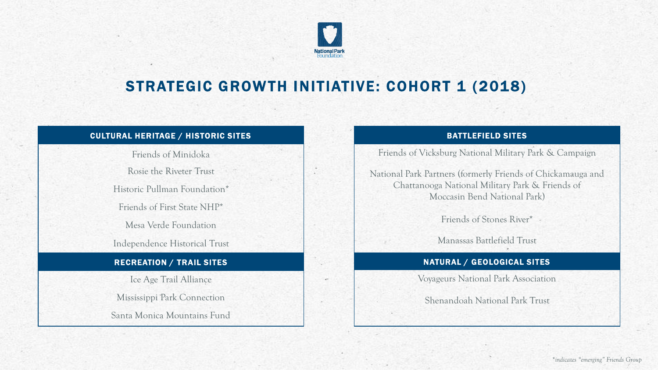# National Par

## STRATEGIC GROWTH INITIATIVE: COHORT 1 (2018)

## CULTURAL HERITAGE / HISTORIC SITES

Friends of Minidoka

Rosie the Riveter Trust

Historic Pullman Foundation\*

Friends of First State NHP\*

Mesa Verde Foundation

Independence Historical Trust

## RECREATION / TRAIL SITES

Ice Age Trail Alliance

Mississippi Park Connection

Santa Monica Mountains Fund

## BATTLEFIELD SITES

Friends of Vicksburg National Military Park & Campaign

National Park Partners (formerly Friends of Chickamauga and Chattanooga National Military Park & Friends of Moccasin Bend National Park)

Friends of Stones River\*

Manassas Battlefield Trust

## NATURAL / GEOLOGICAL SITES

Voyageurs National Park Association

Shenandoah National Park Trust